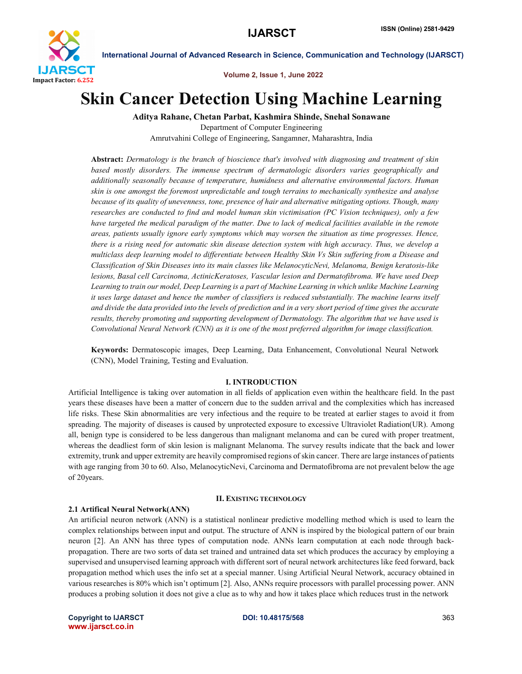

Volume 2, Issue 1, June 2022

## Skin Cancer Detection Using Machine Learning

Aditya Rahane, Chetan Parbat, Kashmira Shinde, Snehal Sonawane Department of Computer Engineering

Amrutvahini College of Engineering, Sangamner, Maharashtra, India

Abstract: *Dermatology is the branch of bioscience that's involved with diagnosing and treatment of skin based mostly disorders. The immense spectrum of dermatologic disorders varies geographically and additionally seasonally because of temperature, humidness and alternative environmental factors. Human skin is one amongst the foremost unpredictable and tough terrains to mechanically synthesize and analyse because of its quality of unevenness, tone, presence of hair and alternative mitigating options. Though, many researches are conducted to find and model human skin victimisation (PC Vision techniques), only a few have targeted the medical paradigm of the matter. Due to lack of medical facilities available in the remote areas, patients usually ignore early symptoms which may worsen the situation as time progresses. Hence, there is a rising need for automatic skin disease detection system with high accuracy. Thus, we develop a multiclass deep learning model to differentiate between Healthy Skin Vs Skin suffering from a Disease and Classification of Skin Diseases into its main classes like MelanocyticNevi, Melanoma, Benign keratosis-like lesions, Basal cell Carcinoma, ActinicKeratoses, Vascular lesion and Dermatofibroma. We have used Deep Learning to train our model, Deep Learning is a part of Machine Learning in which unlike Machine Learning it uses large dataset and hence the number of classifiers is reduced substantially. The machine learns itself and divide the data provided into the levels of prediction and in a very short period of time gives the accurate results, thereby promoting and supporting development of Dermatology. The algorithm that we have used is Convolutional Neural Network (CNN) as it is one of the most preferred algorithm for image classification.*

Keywords: Dermatoscopic images, Deep Learning, Data Enhancement, Convolutional Neural Network (CNN), Model Training, Testing and Evaluation.

#### I. INTRODUCTION

Artificial Intelligence is taking over automation in all fields of application even within the healthcare field. In the past years these diseases have been a matter of concern due to the sudden arrival and the complexities which has increased life risks. These Skin abnormalities are very infectious and the require to be treated at earlier stages to avoid it from spreading. The majority of diseases is caused by unprotected exposure to excessive Ultraviolet Radiation(UR). Among all, benign type is considered to be less dangerous than malignant melanoma and can be cured with proper treatment, whereas the deadliest form of skin lesion is malignant Melanoma. The survey results indicate that the back and lower extremity, trunk and upper extremity are heavily compromised regions of skin cancer. There are large instances of patients with age ranging from 30 to 60. Also, MelanocyticNevi, Carcinoma and Dermatofibroma are not prevalent below the age of 20years.

#### II. EXISTING TECHNOLOGY

#### 2.1 Artifical Neural Network(ANN)

An artificial neuron network (ANN) is a statistical nonlinear predictive modelling method which is used to learn the complex relationships between input and output. The structure of ANN is inspired by the biological pattern of our brain neuron [2]. An ANN has three types of computation node. ANNs learn computation at each node through backpropagation. There are two sorts of data set trained and untrained data set which produces the accuracy by employing a supervised and unsupervised learning approach with different sort of neural network architectures like feed forward, back propagation method which uses the info set at a special manner. Using Artificial Neural Network, accuracy obtained in various researches is 80% which isn't optimum [2]. Also, ANNs require processors with parallel processing power. ANN produces a probing solution it does not give a clue as to why and how it takes place which reduces trust in the network

Copyright to IJARSCT **DOI: 10.48175/568** 363 www.ijarsct.co.in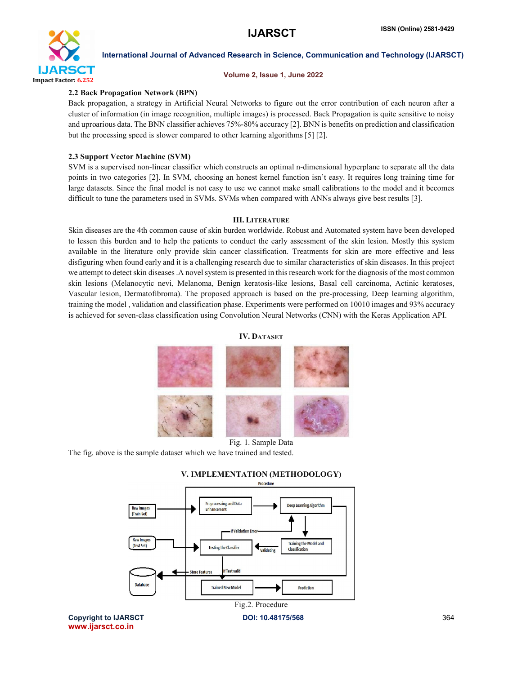

#### Volume 2, Issue 1, June 2022

#### 2.2 Back Propagation Network (BPN)

Back propagation, a strategy in Artificial Neural Networks to figure out the error contribution of each neuron after a cluster of information (in image recognition, multiple images) is processed. Back Propagation is quite sensitive to noisy and uproarious data. The BNN classifier achieves 75%-80% accuracy [2]. BNN is benefits on prediction and classification but the processing speed is slower compared to other learning algorithms [5] [2].

## 2.3 Support Vector Machine (SVM)

SVM is a supervised non-linear classifier which constructs an optimal n-dimensional hyperplane to separate all the data points in two categories [2]. In SVM, choosing an honest kernel function isn't easy. It requires long training time for large datasets. Since the final model is not easy to use we cannot make small calibrations to the model and it becomes difficult to tune the parameters used in SVMs. SVMs when compared with ANNs always give best results [3].

#### III. LITERATURE

Skin diseases are the 4th common cause of skin burden worldwide. Robust and Automated system have been developed to lessen this burden and to help the patients to conduct the early assessment of the skin lesion. Mostly this system available in the literature only provide skin cancer classification. Treatments for skin are more effective and less disfiguring when found early and it is a challenging research due to similar characteristics of skin diseases. In this project we attempt to detect skin diseases .A novel system is presented in this research work for the diagnosis of the most common skin lesions (Melanocytic nevi, Melanoma, Benign keratosis-like lesions, Basal cell carcinoma, Actinic keratoses, Vascular lesion, Dermatofibroma). The proposed approach is based on the pre-processing, Deep learning algorithm, training the model , validation and classification phase. Experiments were performed on 10010 images and 93% accuracy is achieved for seven-class classification using Convolution Neural Networks (CNN) with the Keras Application API.

#### IV. DATASET



Fig. 1. Sample Data The fig. above is the sample dataset which we have trained and tested.



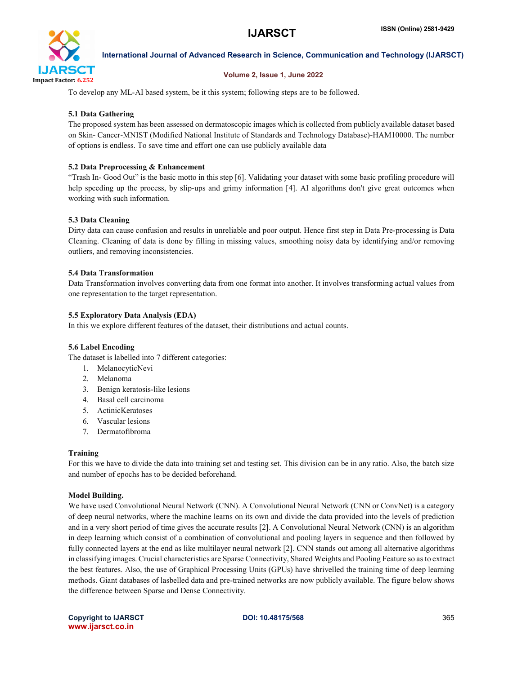

## Volume 2, Issue 1, June 2022

To develop any ML-AI based system, be it this system; following steps are to be followed.

## 5.1 Data Gathering

The proposed system has been assessed on dermatoscopic images which is collected from publicly available dataset based on Skin- Cancer-MNIST (Modified National Institute of Standards and Technology Database)-HAM10000. The number of options is endless. To save time and effort one can use publicly available data

#### 5.2 Data Preprocessing & Enhancement

"Trash In- Good Out" is the basic motto in this step [6]. Validating your dataset with some basic profiling procedure will help speeding up the process, by slip-ups and grimy information [4]. AI algorithms don't give great outcomes when working with such information.

### 5.3 Data Cleaning

Dirty data can cause confusion and results in unreliable and poor output. Hence first step in Data Pre-processing is Data Cleaning. Cleaning of data is done by filling in missing values, smoothing noisy data by identifying and/or removing outliers, and removing inconsistencies.

### 5.4 Data Transformation

Data Transformation involves converting data from one format into another. It involves transforming actual values from one representation to the target representation.

### 5.5 Exploratory Data Analysis (EDA)

In this we explore different features of the dataset, their distributions and actual counts.

#### 5.6 Label Encoding

The dataset is labelled into 7 different categories:

- 1. MelanocyticNevi
- 2. Melanoma
- 3. Benign keratosis-like lesions
- 4. Basal cell carcinoma
- 5. ActinicKeratoses
- 6. Vascular lesions
- 7. Dermatofibroma

#### Training

For this we have to divide the data into training set and testing set. This division can be in any ratio. Also, the batch size and number of epochs has to be decided beforehand.

#### Model Building.

We have used Convolutional Neural Network (CNN). A Convolutional Neural Network (CNN or ConvNet) is a category of deep neural networks, where the machine learns on its own and divide the data provided into the levels of prediction and in a very short period of time gives the accurate results [2]. A Convolutional Neural Network (CNN) is an algorithm in deep learning which consist of a combination of convolutional and pooling layers in sequence and then followed by fully connected layers at the end as like multilayer neural network [2]. CNN stands out among all alternative algorithms in classifying images. Crucial characteristics are Sparse Connectivity, Shared Weights and Pooling Feature so as to extract the best features. Also, the use of Graphical Processing Units (GPUs) have shrivelled the training time of deep learning methods. Giant databases of lasbelled data and pre-trained networks are now publicly available. The figure below shows the difference between Sparse and Dense Connectivity.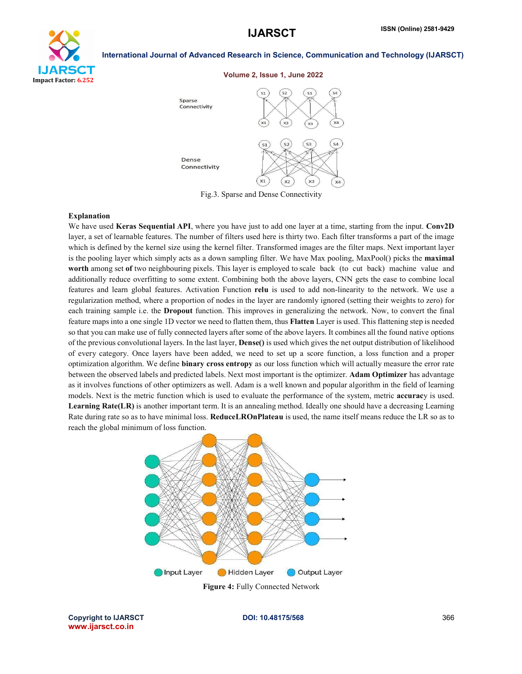

#### Volume 2, Issue 1, June 2022



Fig.3. Sparse and Dense Connectivity

#### Explanation

We have used Keras Sequential API, where you have just to add one layer at a time, starting from the input. Conv2D layer, a set of learnable features. The number of filters used here is thirty two. Each filter transforms a part of the image which is defined by the kernel size using the kernel filter. Transformed images are the filter maps. Next important layer is the pooling layer which simply acts as a down sampling filter. We have Max pooling, MaxPool() picks the maximal worth among set of two neighbouring pixels. This layer is employed to scale back (to cut back) machine value and additionally reduce overfitting to some extent. Combining both the above layers, CNN gets the ease to combine local features and learn global features. Activation Function relu is used to add non-linearity to the network. We use a regularization method, where a proportion of nodes in the layer are randomly ignored (setting their weights to zero) for each training sample i.e. the **Dropout** function. This improves in generalizing the network. Now, to convert the final feature mapsinto a one single 1D vector we need to flatten them, thus Flatten Layer is used. This flattening step is needed so that you can make use of fully connected layers after some of the above layers. It combines all the found native options of the previous convolutional layers. In the last layer, Dense() is used which gives the net output distribution of likelihood of every category. Once layers have been added, we need to set up a score function, a loss function and a proper optimization algorithm. We define binary cross entropy as our loss function which will actually measure the error rate between the observed labels and predicted labels. Next most important is the optimizer. Adam Optimizer has advantage as it involves functions of other optimizers as well. Adam is a well known and popular algorithm in the field of learning models. Next is the metric function which is used to evaluate the performance of the system, metric **accuracy** is used. Learning Rate(LR) is another important term. It is an annealing method. Ideally one should have a decreasing Learning Rate during rate so as to have minimal loss. **ReduceLROnPlateau** is used, the name itself means reduce the LR so as to reach the global minimum of loss function.



Copyright to IJARSCT **DOI: 10.48175/568** 366 www.ijarsct.co.in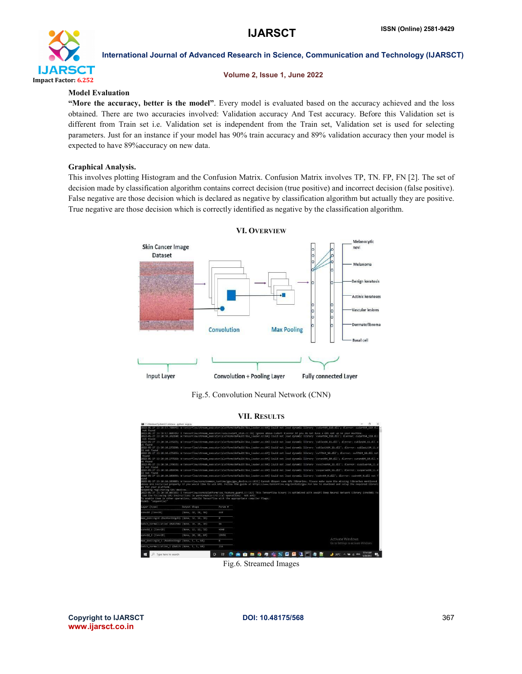

#### Volume 2, Issue 1, June 2022

#### Model Evaluation

"More the accuracy, better is the model". Every model is evaluated based on the accuracy achieved and the loss obtained. There are two accuracies involved: Validation accuracy And Test accuracy. Before this Validation set is different from Train set i.e. Validation set is independent from the Train set, Validation set is used for selecting parameters. Just for an instance if your model has 90% train accuracy and 89% validation accuracy then your model is expected to have 89%accuracy on new data.

#### Graphical Analysis.

This involves plotting Histogram and the Confusion Matrix. Confusion Matrix involves TP, TN. FP, FN [2]. The set of decision made by classification algorithm contains correct decision (true positive) and incorrect decision (false positive). False negative are those decision which is declared as negative by classification algorithm but actually they are positive. True negative are those decision which is correctly identified as negative by the classification algorithm.



Fig.5. Convolution Neural Network (CNN)

### VII. RESULTS



Fig.6. Streamed Images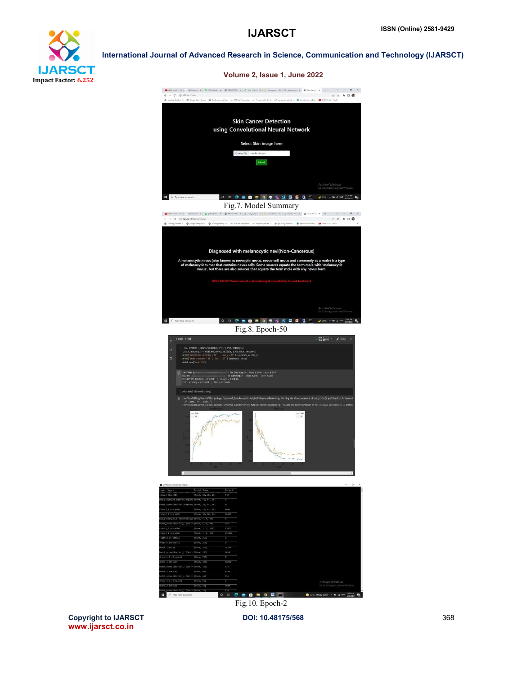# **IJARSCT** Impact Factor: 6.252

International Journal of Advanced Research in Science, Communication and Technology (IJARSCT)



Copyright to IJARSCT **DOI: 10.48175/568** 368 www.ijarsct.co.in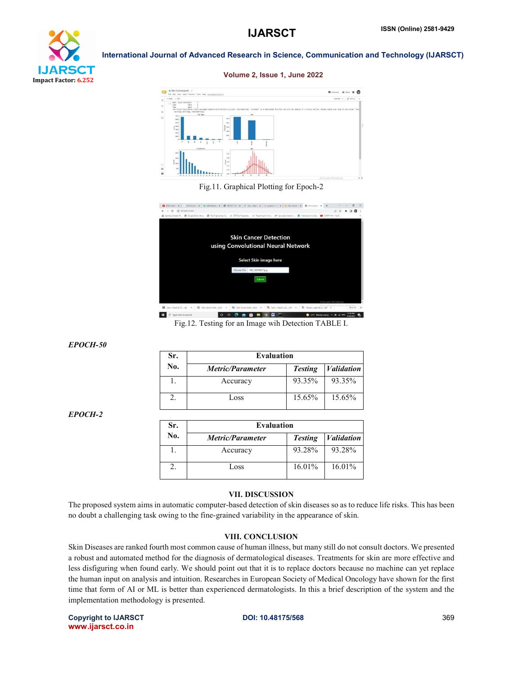

Volume 2, Issue 1, June 2022



### Fig.11. Graphical Plotting for Epoch-2

| 89 (550 Install) X   49 Docume: X   @ (80 Whats-L X   @ FROECT RE! X   @ Sen_1 Repo X   {1 graphics - H   X   CD Son Cance: X   @ Skin Cance:   X   +                                           |                            |                                    |                              |                           |                          |                                                              | $\sim$                    | $\mathbf{x}$ |
|-------------------------------------------------------------------------------------------------------------------------------------------------------------------------------------------------|----------------------------|------------------------------------|------------------------------|---------------------------|--------------------------|--------------------------------------------------------------|---------------------------|--------------|
| CD 127,0.0.1:5000<br>$\alpha$<br>u.                                                                                                                                                             |                            |                                    |                              |                           |                          |                                                              |                           |              |
| is Landing   Student P. @ Google Salary Struc. @ Top Engineering Co., and ESS Test Preparation. are Preparing for the V. and gre study material -. @ Introduction to Dat. . @ CHERY MIX - Ingil |                            |                                    |                              |                           |                          |                                                              |                           |              |
|                                                                                                                                                                                                 |                            |                                    |                              |                           |                          |                                                              |                           |              |
|                                                                                                                                                                                                 |                            |                                    |                              |                           |                          |                                                              |                           |              |
|                                                                                                                                                                                                 |                            |                                    |                              |                           |                          |                                                              |                           |              |
|                                                                                                                                                                                                 |                            |                                    | <b>Skin Cancer Detection</b> |                           |                          |                                                              |                           |              |
|                                                                                                                                                                                                 |                            | using Convolutional Neural Network |                              |                           |                          |                                                              |                           |              |
|                                                                                                                                                                                                 |                            |                                    |                              |                           |                          |                                                              |                           |              |
|                                                                                                                                                                                                 |                            |                                    |                              |                           |                          |                                                              |                           |              |
|                                                                                                                                                                                                 |                            |                                    | Select Skin image here       |                           |                          |                                                              |                           |              |
|                                                                                                                                                                                                 |                            | Choose File                        | ISIC_0029627.jpg             |                           |                          |                                                              |                           |              |
|                                                                                                                                                                                                 |                            |                                    |                              |                           |                          |                                                              |                           |              |
|                                                                                                                                                                                                 |                            |                                    | Submit                       |                           |                          |                                                              |                           |              |
|                                                                                                                                                                                                 |                            |                                    |                              |                           |                          |                                                              |                           |              |
|                                                                                                                                                                                                 |                            |                                    |                              |                           |                          |                                                              |                           |              |
|                                                                                                                                                                                                 |                            |                                    |                              |                           |                          |                                                              |                           |              |
|                                                                                                                                                                                                 |                            |                                    |                              |                           |                          | Activate Windows                                             |                           |              |
| Sen 1 Report 20  zio                                                                                                                                                                            | (2) Skin Cancer Detedocx ~ |                                    | Skin Cancer Detedocx ~       | TA Sem 1 Report 20  pdf ~ | Project_Lopbook_4  pdf ~ | Go to Settings to activate Window                            | Show all                  | $\cdot x$    |
| F<br>Type here to search                                                                                                                                                                        |                            |                                    |                              |                           |                          | $\bigcirc$ 32°C Mostly sunny $\wedge$ $\bigcirc$ $\beta$ ENG | 1238 AM<br><b>SOR/WOS</b> |              |

Fig.12. Testing for an Image wih Detection TABLE I.

*EPOCH-50*

| Sr. | <b>Evaluation</b>       |                |                   |  |  |  |  |
|-----|-------------------------|----------------|-------------------|--|--|--|--|
| No. | <b>Metric/Parameter</b> | <b>Testing</b> | <i>Validation</i> |  |  |  |  |
|     | Accuracy                | 93.35%         | 93.35%            |  |  |  |  |
|     | Loss                    | $15.65\%$      | $15.65\%$         |  |  |  |  |

*EPOCH-2*

| Sr. | <b>Evaluation</b>       |                |                   |  |  |  |  |
|-----|-------------------------|----------------|-------------------|--|--|--|--|
| No. | <i>Metric/Parameter</i> | <b>Testing</b> | <i>Validation</i> |  |  |  |  |
|     | Accuracy                | 93.28%         | 93.28%            |  |  |  |  |
|     | Loss                    | 16.01%         | $16.01\%$         |  |  |  |  |

#### VII. DISCUSSION

The proposed system aims in automatic computer-based detection of skin diseases so as to reduce life risks. This has been no doubt a challenging task owing to the fine-grained variability in the appearance of skin.

#### VIII. CONCLUSION

Skin Diseases are ranked fourth most common cause of human illness, but many still do not consult doctors. We presented a robust and automated method for the diagnosis of dermatological diseases. Treatments for skin are more effective and less disfiguring when found early. We should point out that it is to replace doctors because no machine can yet replace the human input on analysis and intuition. Researches in European Society of Medical Oncology have shown for the first time that form of AI or ML is better than experienced dermatologists. In this a brief description of the system and the implementation methodology is presented.

Copyright to IJARSCT **DOI: 10.48175/568** 369 www.ijarsct.co.in